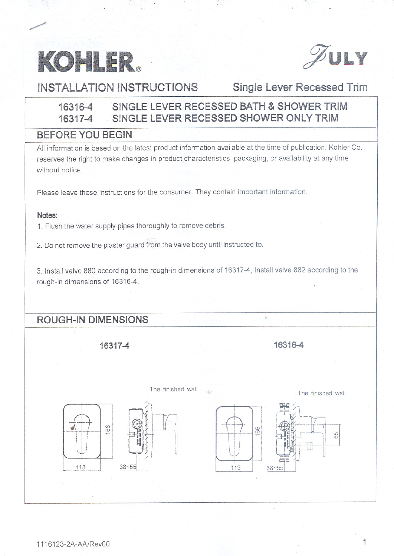



**INSTALLATION INSTRUCTIONS Single Lever Recessed Trim**

## **16316-4 SINGLE LEVER RECESSED BATH & SHOWER TRIM 16317-4 . SINGLE LEVER RECESSED SHOWER ONLY TRIM**

### **BEFORE YOU BEGIN**

All information is based on the latest product information available at the time of publication. Kohler Co. reserves the right to make changes in product characteristics, packaging, or availability at any time without notice.

Please leave these instructions for the consumer. They contain important information.

#### **Notes:**

1. Flush the water supply pipes thoroughly to remove debris.

2. Do not remove the plaster guard from the valve body until instructed to.

3. Install valve 880 according to the rough-in dimensions of 16317-4, Install valve 882 according to the rough-in dimensions of 16316-4.

# **ROUGH-IN DIMENSIONS**

**16317-4**

**16316-4**